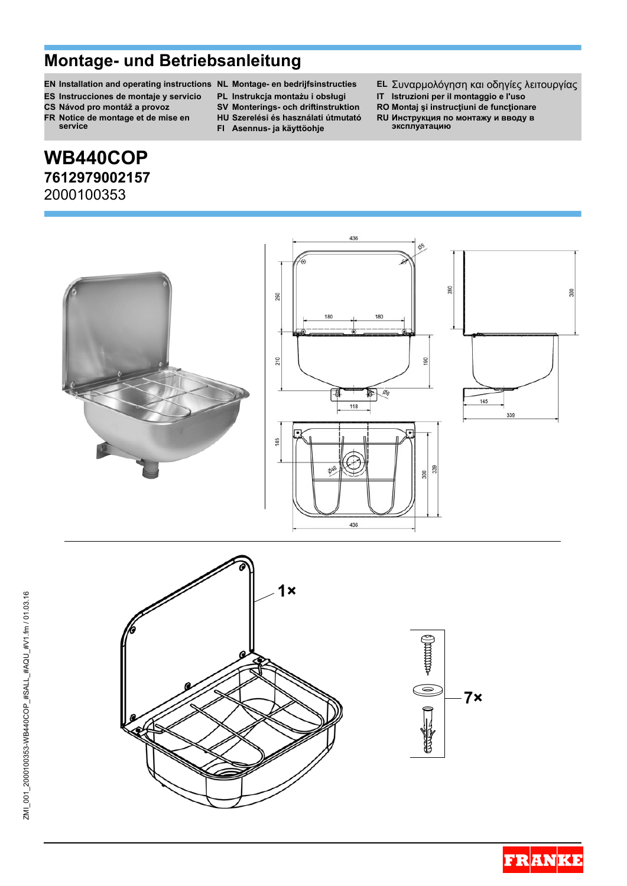## **Montage- und Betriebsanleitung**

- 
- **ES Instrucciones de montaje y servicio PL Instrukcja montażu i obsługi IT Istruzioni per il montaggio e l'uso**

**FR Notice de montage et de mise en** 

- 
- 
- 
- 
- **FI** Asennus- ja käyttöohje
- **EN Installation and operating instructions NL Montage- en bedrijfsinstructies EL** Συναρμολόγηση και οδηγίες λειτουργίας
	-
- **CS Návod pro montáž a provoz SV Monterings- och driftinstruktion RO Montaj şi instrucţiuni de funcţionare HU Szerelési és használati útmutató RU Инструкция по монтажу и вводу в**

# **WB440COP 7612979002157**

**service** 

2000100353





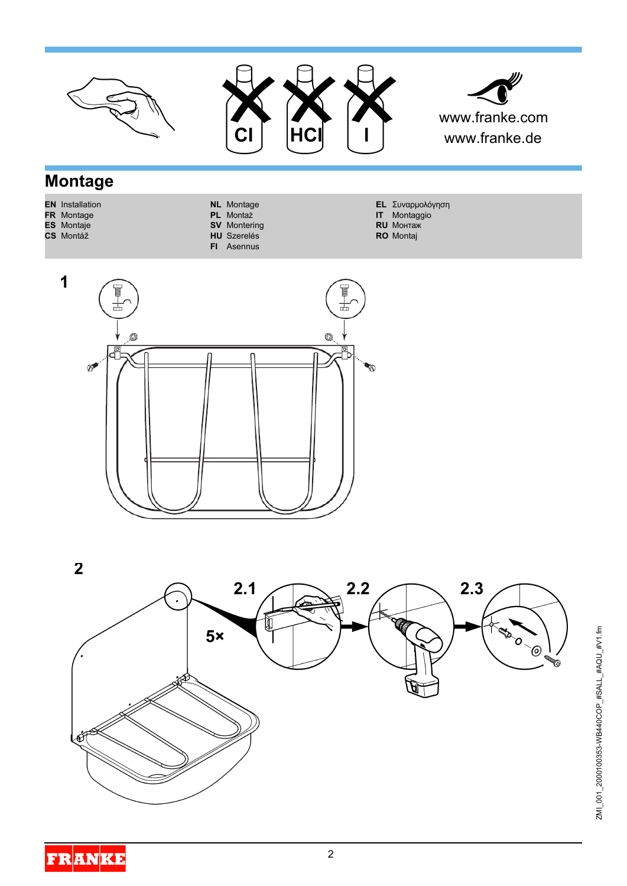





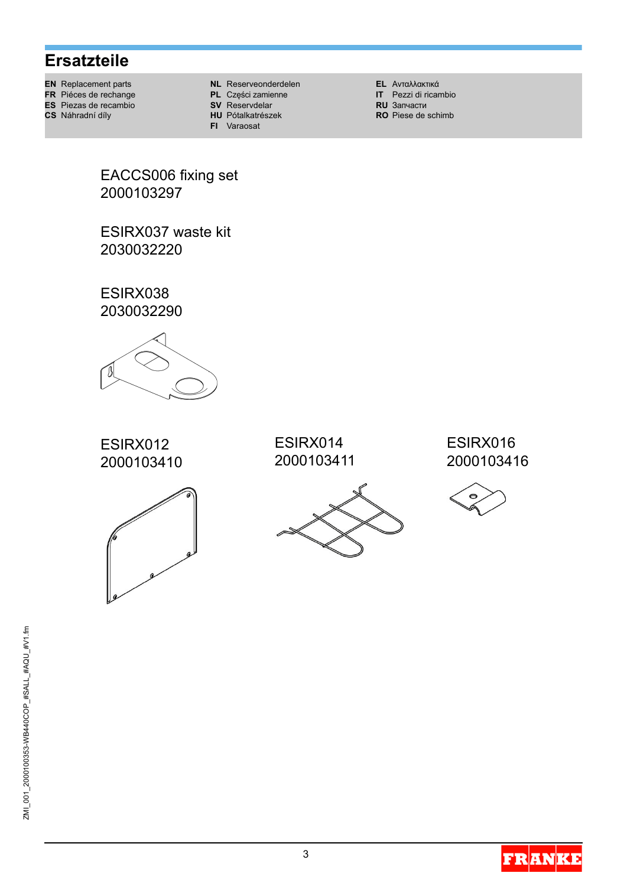## **Ersatzteile**

- **EN** Replacement parts **NL** Reserveonderdelen **EL** Ανταλλακτικά
- **FR** Piéces de rechange **PL** Części zamienne **IT** Pezzi di ricambio<br> **ES** Piezas de recambio **ISV** Reservdelar **ICC RU** Запчасти

**ES** Piezas de recambio **SV** Reservdelar **CS** Náhradní díly **RU** Pótalkatrészek

- 
- 
- 
- **FI** Varaosat

- 
- **RO** Piese de schimb

EACCS006 fixing set 2000103297

ESIRX037 waste kit 2030032220

ESIRX038 2030032290



ESIRX012 2000103410



ESIRX014 2000103411